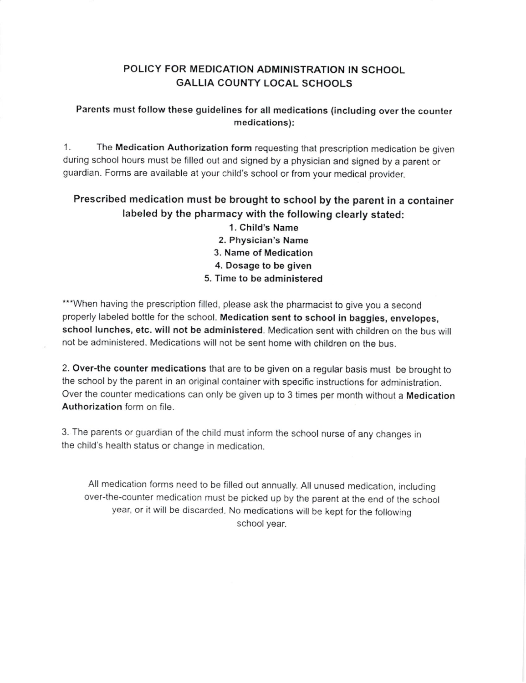## POLICY FOR MEDICATION ADMINISTRATION IN SCHOOL GALLIA COUNTY LOCAL SCHOOLS

### Parents must follow these guidelines for all medications (including over the counter medications):

1. The Medication Authorization form requesting that prescription medication be given during school hours must be filled out and signed by a physician and signed by a parent or guardian. Forms are available at your child's school or from your medical provider.

## Prescribed medication must be brought to school by the parent in a container labeled by the pharmacy with the following clearly stated:

1. Child's Name 2. Physician's Name 3. Name of Medication 4. Dosage to be given 5. Time to be administered

\*\*\* When having the prescription filled, please ask the pharmacist to give you a second properly labeled bottle for the school. Medication sent to school in baggies, envelopes, school lunches, etc. will not be administered. Medication sent with children on the bus will not be administered. Medications will not be sent home with children on the bus.

2. Over-the counter medications that are to be given on a regular basis must be brought to the school by the parent in an original container with specific instructions for administration. Over the counter medications can only be given up to 3 times per month without a Medication Authorization form on file.

3. The parents or guardian of the child must inform the school nurse of any changes jn the child's health status or change in medication.

All medication forms need to be filled out annually. All unused medication, including over-the-counter medication must be picked up by the parent at the end of the school year, or it will be discarded. No medications will be kept for the following school year.